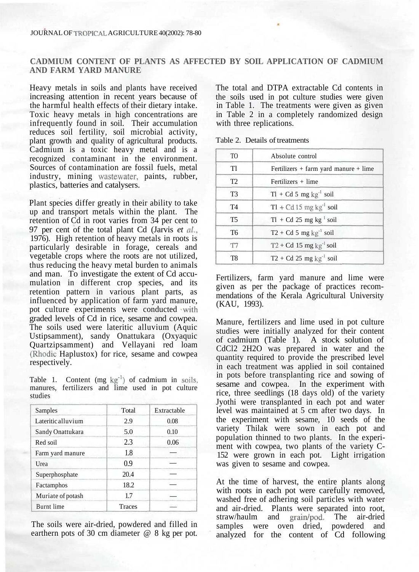## **CADMIUM CONTENT OF PLANTS AS AFFECTED BY SOIL APPLICATION OF CADMIUM AND FARM YARD MANURE**

Heavy metals in soils and plants have received increasing attention in recent years because of the harmful health effects of their dietary intake. Toxic heavy metals in high concentrations are infrequently found in soil. Their accumulation reduces soil fertility, soil microbial activity, plant growth and quality of agricultural products. Cadmium is a toxic heavy metal and is a recognized contaminant in the environment. Sources of contamination are fossil fuels, metal industry, mining wastewater, paints, rubber, plastics, batteries and catalysers.

Plant species differ greatly in their ability to take up and transport metals within the plant. The retention of Cd in root varies from 34 per cent to 97 per cent of the total plant Cd (Jarvis *et al.,* 1976). High retention of heavy metals in roots is particularly desirable in forage, cereals and vegetable crops where the roots are not utilized, thus reducing the heavy metal burden to animals and man. To investigate the extent of Cd accumulation in different crop species, and its retention pattern in various plant parts, as influenced by application of farm yard manure, pot culture experiments were conducted with graded levels of Cd in rice, sesame and cowpea. The soils used were lateritic alluvium (Aquic Ustipsamment), sandy Onattukara (Oxyaquic Quartzipsamment) and Vellayani red loam (Rhodic Haplustox) for rice, sesame and cowpea respectively.

Table 1. Content  $(mg kg<sup>-1</sup>)$  of cadmium in soils, manures, fertilizers and lime used in pot culture studies

| Samples            | Total  | Extractable |  |
|--------------------|--------|-------------|--|
| Lateritic alluvium | 2.9    | 0.08        |  |
| Sandy Onattukara   | 5.0    | 0.10        |  |
| Red soil           | 2.3    | 0.06        |  |
| Farm yard manure   | 1.8    |             |  |
| Urea               | 0.9    |             |  |
| Superphosphate     | 20.4   |             |  |
| Factamphos         | 18.2   |             |  |
| Muriate of potash  | 1.7    |             |  |
| <b>Burnt</b> lime  | Traces |             |  |

The soils were air-dried, powdered and filled in earthern pots of 30 cm diameter @ 8 kg per pot.

The total and DTPA extractable Cd contents in the soils used in pot culture studies were given in Table 1. The treatments were given as given in Table 2 in a completely randomized design with three replications.

Table 2. Details of treatments

| T <sub>O</sub> | Absolute control                          |
|----------------|-------------------------------------------|
| T1             | Fertilizers $+$ farm yard manure $+$ lime |
| T <sub>2</sub> | Fertilizers + lime                        |
| T <sub>3</sub> | $Tl + Cd 5 mg kg-1 soil$                  |
| T <sub>4</sub> | $T1 + Cd 15$ mg kg <sup>-1</sup> soil     |
| T <sub>5</sub> | $T1 + Cd 25$ mg kg <sup>1</sup> soil      |
| T <sub>6</sub> | $T2 + Cd 5$ mg kg <sup>-1</sup> soil      |
| T7             | $T2 + Cd 15$ mg kg <sup>-1</sup> soil     |
| T8             | $T2 + Cd 25$ mg kg <sup>-1</sup> soil     |

Fertilizers, farm yard manure and lime were given as per the package of practices recommendations of the Kerala Agricultural University (KAU, 1993).

Manure, fertilizers and lime used in pot culture studies were initially analyzed for their content of cadmium (Table 1). A stock solution of CdCl2 2H2O was prepared in water and the quantity required to provide the prescribed level in each treatment was applied in soil contained in pots before transplanting rice and sowing of sesame and cowpea. In the experiment with rice, three seedlings (18 days old) of the variety Jyothi were transplanted in each pot and water level was maintained at 5 cm after two days. In the experiment with sesame, 10 seeds of the variety Thilak were sown in each pot and population thinned to two plants. In the experiment with cowpea, two plants of the variety C-152 were grown in each pot. Light irrigation was given to sesame and cowpea.

At the time of harvest, the entire plants along with roots in each pot were carefully removed, washed free of adhering soil particles with water and air-dried. Plants were separated into root, straw/haulm and grain/pod. The air-dried samples were oven dried, powdered and analyzed for the content of Cd following